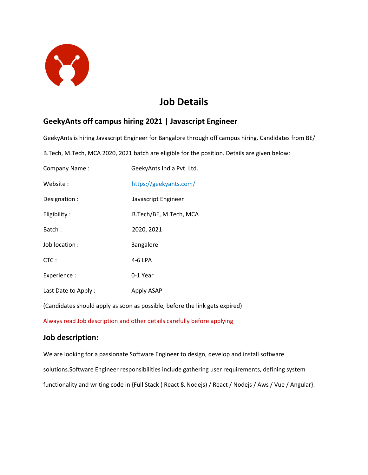

# **Job Details**

## **GeekyAnts off campus hiring 2021 | Javascript Engineer**

GeekyAnts is hiring Javascript Engineer for Bangalore through off campus hiring. Candidates from BE/

B.Tech, M.Tech, MCA 2020, 2021 batch are eligible for the position. Details are given below:

| Company Name:       | GeekyAnts India Pvt. Ltd. |
|---------------------|---------------------------|
| Website :           | https://geekyants.com/    |
| Designation :       | Javascript Engineer       |
| Eligibility:        | B.Tech/BE, M.Tech, MCA    |
| Batch:              | 2020, 2021                |
| Job location :      | Bangalore                 |
| $CTC$ :             | 4-6 LPA                   |
| Experience :        | 0-1 Year                  |
| Last Date to Apply: | Apply ASAP                |

(Candidates should apply as soon as possible, before the link gets expired)

Always read Job description and other details carefully before applying

#### **Job description:**

We are looking for a passionate Software Engineer to design, develop and install software solutions.Software Engineer responsibilities include gathering user requirements, defining system functionality and writing code in {Full Stack ( React & Nodejs) / React / Nodejs / Aws / Vue / Angular}.